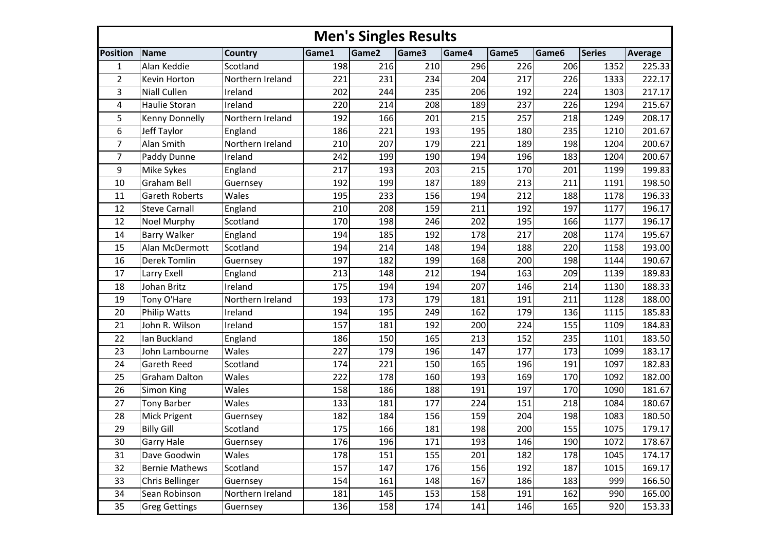|                 | <b>Men's Singles Results</b> |                  |       |       |       |       |       |       |               |                |  |  |  |
|-----------------|------------------------------|------------------|-------|-------|-------|-------|-------|-------|---------------|----------------|--|--|--|
| <b>Position</b> | Name                         | <b>Country</b>   | Game1 | Game2 | Game3 | Game4 | Game5 | Game6 | <b>Series</b> | <b>Average</b> |  |  |  |
| $\mathbf{1}$    | Alan Keddie                  | Scotland         | 198   | 216   | 210   | 296   | 226   | 206   | 1352          | 225.33         |  |  |  |
| $\overline{2}$  | Kevin Horton                 | Northern Ireland | 221   | 231   | 234   | 204   | 217   | 226   | 1333          | 222.17         |  |  |  |
| 3               | Niall Cullen                 | Ireland          | 202   | 244   | 235   | 206   | 192   | 224   | 1303          | 217.17         |  |  |  |
| 4               | Haulie Storan                | Ireland          | 220   | 214   | 208   | 189   | 237   | 226   | 1294          | 215.67         |  |  |  |
| 5               | <b>Kenny Donnelly</b>        | Northern Ireland | 192   | 166   | 201   | 215   | 257   | 218   | 1249          | 208.17         |  |  |  |
| 6               | Jeff Taylor                  | England          | 186   | 221   | 193   | 195   | 180   | 235   | 1210          | 201.67         |  |  |  |
| $\overline{7}$  | Alan Smith                   | Northern Ireland | 210   | 207   | 179   | 221   | 189   | 198   | 1204          | 200.67         |  |  |  |
| 7               | Paddy Dunne                  | Ireland          | 242   | 199   | 190   | 194   | 196   | 183   | 1204          | 200.67         |  |  |  |
| 9               | Mike Sykes                   | England          | 217   | 193   | 203   | 215   | 170   | 201   | 1199          | 199.83         |  |  |  |
| 10              | <b>Graham Bell</b>           | Guernsey         | 192   | 199   | 187   | 189   | 213   | 211   | 1191          | 198.50         |  |  |  |
| 11              | <b>Gareth Roberts</b>        | Wales            | 195   | 233   | 156   | 194   | 212   | 188   | 1178          | 196.33         |  |  |  |
| 12              | <b>Steve Carnall</b>         | England          | 210   | 208   | 159   | 211   | 192   | 197   | 1177          | 196.17         |  |  |  |
| 12              | Noel Murphy                  | Scotland         | 170   | 198   | 246   | 202   | 195   | 166   | 1177          | 196.17         |  |  |  |
| 14              | <b>Barry Walker</b>          | England          | 194   | 185   | 192   | 178   | 217   | 208   | 1174          | 195.67         |  |  |  |
| 15              | Alan McDermott               | Scotland         | 194   | 214   | 148   | 194   | 188   | 220   | 1158          | 193.00         |  |  |  |
| 16              | Derek Tomlin                 | Guernsey         | 197   | 182   | 199   | 168   | 200   | 198   | 1144          | 190.67         |  |  |  |
| 17              | Larry Exell                  | England          | 213   | 148   | 212   | 194   | 163   | 209   | 1139          | 189.83         |  |  |  |
| 18              | Johan Britz                  | Ireland          | 175   | 194   | 194   | 207   | 146   | 214   | 1130          | 188.33         |  |  |  |
| 19              | Tony O'Hare                  | Northern Ireland | 193   | 173   | 179   | 181   | 191   | 211   | 1128          | 188.00         |  |  |  |
| 20              | <b>Philip Watts</b>          | Ireland          | 194   | 195   | 249   | 162   | 179   | 136   | 1115          | 185.83         |  |  |  |
| 21              | John R. Wilson               | Ireland          | 157   | 181   | 192   | 200   | 224   | 155   | 1109          | 184.83         |  |  |  |
| 22              | Ian Buckland                 | England          | 186   | 150   | 165   | 213   | 152   | 235   | 1101          | 183.50         |  |  |  |
| 23              | John Lambourne               | Wales            | 227   | 179   | 196   | 147   | 177   | 173   | 1099          | 183.17         |  |  |  |
| 24              | <b>Gareth Reed</b>           | Scotland         | 174   | 221   | 150   | 165   | 196   | 191   | 1097          | 182.83         |  |  |  |
| 25              | <b>Graham Dalton</b>         | Wales            | 222   | 178   | 160   | 193   | 169   | 170   | 1092          | 182.00         |  |  |  |
| 26              | <b>Simon King</b>            | Wales            | 158   | 186   | 188   | 191   | 197   | 170   | 1090          | 181.67         |  |  |  |
| 27              | <b>Tony Barber</b>           | Wales            | 133   | 181   | 177   | 224   | 151   | 218   | 1084          | 180.67         |  |  |  |
| 28              | Mick Prigent                 | Guernsey         | 182   | 184   | 156   | 159   | 204   | 198   | 1083          | 180.50         |  |  |  |
| 29              | <b>Billy Gill</b>            | Scotland         | 175   | 166   | 181   | 198   | 200   | 155   | 1075          | 179.17         |  |  |  |
| 30              | <b>Garry Hale</b>            | Guernsey         | 176   | 196   | 171   | 193   | 146   | 190   | 1072          | 178.67         |  |  |  |
| 31              | Dave Goodwin                 | Wales            | 178   | 151   | 155   | 201   | 182   | 178   | 1045          | 174.17         |  |  |  |
| 32              | <b>Bernie Mathews</b>        | Scotland         | 157   | 147   | 176   | 156   | 192   | 187   | 1015          | 169.17         |  |  |  |
| 33              | Chris Bellinger              | Guernsey         | 154   | 161   | 148   | 167   | 186   | 183   | 999           | 166.50         |  |  |  |
| 34              | Sean Robinson                | Northern Ireland | 181   | 145   | 153   | 158   | 191   | 162   | 990           | 165.00         |  |  |  |
| 35              | <b>Greg Gettings</b>         | Guernsey         | 136   | 158   | 174   | 141   | 146   | 165   | 920           | 153.33         |  |  |  |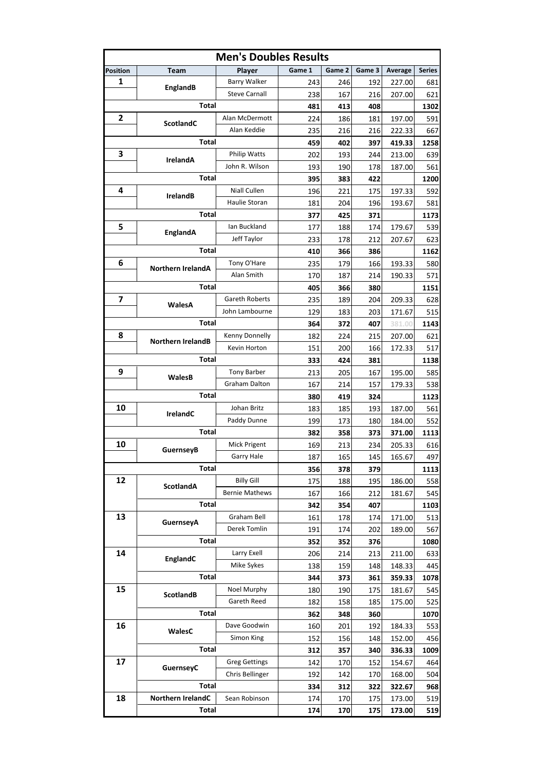| <b>Men's Doubles Results</b> |                          |                       |        |        |        |         |               |  |  |  |  |  |
|------------------------------|--------------------------|-----------------------|--------|--------|--------|---------|---------------|--|--|--|--|--|
| <b>Position</b>              | <b>Team</b>              | Player                | Game 1 | Game 2 | Game 3 | Average | <b>Series</b> |  |  |  |  |  |
| 1                            | EnglandB                 | <b>Barry Walker</b>   | 243    | 246    | 192    | 227.00  | 681           |  |  |  |  |  |
|                              |                          | <b>Steve Carnall</b>  | 238    | 167    | 216    | 207.00  | 621           |  |  |  |  |  |
|                              | <b>Total</b>             |                       | 481    | 413    | 408    |         | 1302          |  |  |  |  |  |
| 2                            | <b>ScotlandC</b>         | Alan McDermott        | 224    | 186    | 181    | 197.00  | 591           |  |  |  |  |  |
|                              |                          | Alan Keddie           | 235    | 216    | 216    | 222.33  | 667           |  |  |  |  |  |
|                              | Total                    |                       | 459    | 402    | 397    | 419.33  | 1258          |  |  |  |  |  |
| 3                            | <b>IrelandA</b>          | <b>Philip Watts</b>   | 202    | 193    | 244    | 213.00  | 639           |  |  |  |  |  |
|                              |                          | John R. Wilson        | 193    | 190    | 178    | 187.00  | 561           |  |  |  |  |  |
|                              | Total                    |                       | 395    | 383    | 422    |         | 1200          |  |  |  |  |  |
| 4                            |                          | Niall Cullen          | 196    | 221    | 175    | 197.33  | 592           |  |  |  |  |  |
|                              | <b>IrelandB</b>          | Haulie Storan         | 181    | 204    | 196    | 193.67  | 581           |  |  |  |  |  |
|                              | Total                    |                       | 377    | 425    | 371    |         | 1173          |  |  |  |  |  |
| 5                            |                          | Ian Buckland          | 177    | 188    | 174    | 179.67  | 539           |  |  |  |  |  |
|                              | EnglandA                 | Jeff Taylor           | 233    | 178    | 212    | 207.67  | 623           |  |  |  |  |  |
|                              | Total                    |                       | 410    | 366    | 386    |         | 1162          |  |  |  |  |  |
| 6                            |                          | Tony O'Hare           | 235    | 179    | 166    | 193.33  | 580           |  |  |  |  |  |
|                              | <b>Northern IrelandA</b> | Alan Smith            | 170    | 187    | 214    | 190.33  | 571           |  |  |  |  |  |
|                              | Total                    |                       | 405    | 366    | 380    |         | 1151          |  |  |  |  |  |
| 7                            |                          | Gareth Roberts        | 235    | 189    | 204    | 209.33  | 628           |  |  |  |  |  |
|                              | WalesA                   | John Lambourne        | 129    | 183    | 203    | 171.67  | 515           |  |  |  |  |  |
|                              | Total                    |                       | 364    | 372    | 407    | 381.00  | 1143          |  |  |  |  |  |
| 8                            |                          | Kenny Donnelly        | 182    | 224    | 215    | 207.00  | 621           |  |  |  |  |  |
|                              | <b>Northern IrelandB</b> | Kevin Horton          | 151    | 200    | 166    | 172.33  | 517           |  |  |  |  |  |
|                              | Total                    |                       | 333    | 424    | 381    |         | 1138          |  |  |  |  |  |
| 9                            |                          | <b>Tony Barber</b>    | 213    | 205    | 167    | 195.00  | 585           |  |  |  |  |  |
|                              | WalesB                   | Graham Dalton         | 167    | 214    | 157    | 179.33  | 538           |  |  |  |  |  |
|                              |                          |                       | 380    | 419    | 324    |         | 1123          |  |  |  |  |  |
| 10                           | Total<br>IrelandC        | Johan Britz           | 183    | 185    | 193    | 187.00  | 561           |  |  |  |  |  |
|                              |                          | Paddy Dunne           | 199    | 173    | 180    | 184.00  | 552           |  |  |  |  |  |
|                              | Total                    |                       | 382    | 358    | 373    | 371.00  | 1113          |  |  |  |  |  |
| 10                           |                          | Mick Prigent          | 169    | 213    | 234    | 205.33  | 616           |  |  |  |  |  |
|                              | <b>GuernseyB</b>         | Garry Hale            | 187    | 165    | 145    | 165.67  | 497           |  |  |  |  |  |
|                              | Total                    |                       | 356    | 378    | 379    |         | 1113          |  |  |  |  |  |
| 12                           |                          | <b>Billy Gill</b>     | 175    | 188    | 195    | 186.00  | 558           |  |  |  |  |  |
|                              | <b>ScotlandA</b>         | <b>Bernie Mathews</b> | 167    | 166    | 212    | 181.67  | 545           |  |  |  |  |  |
|                              | <b>Total</b>             |                       | 342    | 354    | 407    |         | 1103          |  |  |  |  |  |
| 13                           |                          | Graham Bell           | 161    | 178    | 174    | 171.00  | 513           |  |  |  |  |  |
|                              | <b>GuernseyA</b>         | Derek Tomlin          | 191    | 174    | 202    | 189.00  | 567           |  |  |  |  |  |
|                              | <b>Total</b>             |                       | 352    | 352    | 376    |         | 1080          |  |  |  |  |  |
| 14                           |                          | Larry Exell           | 206    | 214    | 213    | 211.00  | 633           |  |  |  |  |  |
|                              | EnglandC                 | Mike Sykes            | 138    | 159    | 148    | 148.33  | 445           |  |  |  |  |  |
|                              | <b>Total</b>             |                       | 344    | 373    | 361    | 359.33  | 1078          |  |  |  |  |  |
| 15                           |                          | Noel Murphy           | 180    | 190    | 175    | 181.67  | 545           |  |  |  |  |  |
|                              | <b>ScotlandB</b>         | Gareth Reed           | 182    | 158    | 185    | 175.00  | 525           |  |  |  |  |  |
|                              | <b>Total</b>             |                       | 362    | 348    | 360    |         | 1070          |  |  |  |  |  |
| 16                           |                          | Dave Goodwin          | 160    | 201    | 192    | 184.33  | 553           |  |  |  |  |  |
|                              | WalesC                   | Simon King            | 152    | 156    | 148    | 152.00  | 456           |  |  |  |  |  |
|                              | Total                    |                       | 312    | 357    | 340    | 336.33  | 1009          |  |  |  |  |  |
| 17                           |                          | <b>Greg Gettings</b>  | 142    | 170    | 152    | 154.67  | 464           |  |  |  |  |  |
|                              | GuernseyC                | Chris Bellinger       | 192    | 142    | 170    | 168.00  | 504           |  |  |  |  |  |
|                              | <b>Total</b>             |                       | 334    | 312    | 322    | 322.67  | 968           |  |  |  |  |  |
| 18                           | Northern IrelandC        | Sean Robinson         | 174    | 170    | 175    | 173.00  | 519           |  |  |  |  |  |
|                              | Total                    |                       | 174    | 170    | 175    | 173.00  | 519           |  |  |  |  |  |
|                              |                          |                       |        |        |        |         |               |  |  |  |  |  |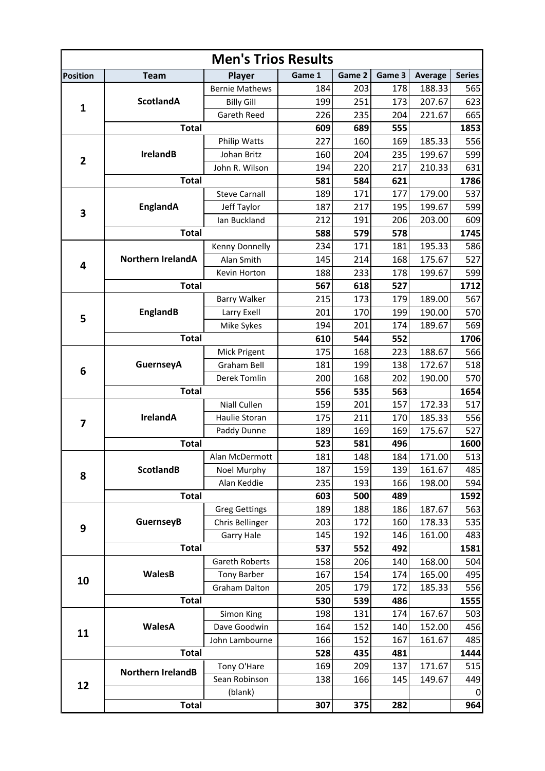| <b>Men's Trios Results</b> |                          |                       |        |        |                                                                                                                                                                                                                                                                                                                                                                                                                                                                                                                                                                                                                                                  |         |               |  |  |  |  |  |
|----------------------------|--------------------------|-----------------------|--------|--------|--------------------------------------------------------------------------------------------------------------------------------------------------------------------------------------------------------------------------------------------------------------------------------------------------------------------------------------------------------------------------------------------------------------------------------------------------------------------------------------------------------------------------------------------------------------------------------------------------------------------------------------------------|---------|---------------|--|--|--|--|--|
| <b>Position</b>            | <b>Team</b>              | Player                | Game 1 | Game 2 | Game 3                                                                                                                                                                                                                                                                                                                                                                                                                                                                                                                                                                                                                                           | Average | <b>Series</b> |  |  |  |  |  |
|                            |                          | <b>Bernie Mathews</b> | 184    | 203    | 178                                                                                                                                                                                                                                                                                                                                                                                                                                                                                                                                                                                                                                              | 188.33  | 565           |  |  |  |  |  |
| $\mathbf{1}$               | <b>ScotlandA</b>         | <b>Billy Gill</b>     | 199    | 251    | 173                                                                                                                                                                                                                                                                                                                                                                                                                                                                                                                                                                                                                                              | 207.67  | 623           |  |  |  |  |  |
|                            |                          | Gareth Reed           | 226    | 235    | 204                                                                                                                                                                                                                                                                                                                                                                                                                                                                                                                                                                                                                                              | 221.67  | 665           |  |  |  |  |  |
|                            | <b>Total</b>             |                       | 609    | 689    | 555                                                                                                                                                                                                                                                                                                                                                                                                                                                                                                                                                                                                                                              |         | 1853          |  |  |  |  |  |
|                            |                          | Philip Watts          | 227    | 160    | 169<br>185.33<br>235<br>199.67<br>217<br>210.33<br>621<br>177<br>179.00<br>195<br>199.67<br>206<br>203.00<br>578<br>181<br>195.33<br>168<br>175.67<br>178<br>199.67<br>527<br>189.00<br>179<br>199<br>190.00<br>189.67<br>174<br>552<br>223<br>188.67<br>138<br>172.67<br>202<br>190.00<br>563<br>157<br>172.33<br>185.33<br>170<br>175.67<br>169<br>496<br>171.00<br>184<br>161.67<br>139<br>166<br>198.00<br>489<br>186<br>187.67<br>160<br>178.33<br>161.00<br>146<br>492<br>140<br>168.00<br>174<br>165.00<br>172<br>185.33<br>486<br>174<br>167.67<br>152.00<br>140<br>167<br>161.67<br>481<br>137<br>171.67<br>149.67<br>145<br>375<br>282 | 556     |               |  |  |  |  |  |
| $\mathbf{2}$               | <b>IrelandB</b>          | Johan Britz           | 160    | 204    |                                                                                                                                                                                                                                                                                                                                                                                                                                                                                                                                                                                                                                                  |         | 599           |  |  |  |  |  |
|                            |                          | John R. Wilson        | 194    | 220    |                                                                                                                                                                                                                                                                                                                                                                                                                                                                                                                                                                                                                                                  |         | 631           |  |  |  |  |  |
|                            | <b>Total</b>             |                       | 581    | 584    |                                                                                                                                                                                                                                                                                                                                                                                                                                                                                                                                                                                                                                                  |         | 1786          |  |  |  |  |  |
|                            |                          | <b>Steve Carnall</b>  | 189    | 171    |                                                                                                                                                                                                                                                                                                                                                                                                                                                                                                                                                                                                                                                  |         | 537           |  |  |  |  |  |
| 3                          | EnglandA                 | Jeff Taylor           | 187    | 217    |                                                                                                                                                                                                                                                                                                                                                                                                                                                                                                                                                                                                                                                  |         | 599           |  |  |  |  |  |
|                            |                          | lan Buckland          | 212    | 191    |                                                                                                                                                                                                                                                                                                                                                                                                                                                                                                                                                                                                                                                  |         | 609           |  |  |  |  |  |
|                            | <b>Total</b>             |                       | 588    | 579    |                                                                                                                                                                                                                                                                                                                                                                                                                                                                                                                                                                                                                                                  |         | 1745          |  |  |  |  |  |
|                            |                          | Kenny Donnelly        | 234    | 171    |                                                                                                                                                                                                                                                                                                                                                                                                                                                                                                                                                                                                                                                  |         | 586           |  |  |  |  |  |
|                            | <b>Northern IrelandA</b> | Alan Smith            | 145    | 214    |                                                                                                                                                                                                                                                                                                                                                                                                                                                                                                                                                                                                                                                  |         | 527           |  |  |  |  |  |
| 4                          |                          | Kevin Horton          | 188    | 233    |                                                                                                                                                                                                                                                                                                                                                                                                                                                                                                                                                                                                                                                  |         | 599           |  |  |  |  |  |
|                            | <b>Total</b>             |                       | 567    | 618    |                                                                                                                                                                                                                                                                                                                                                                                                                                                                                                                                                                                                                                                  |         | 1712          |  |  |  |  |  |
|                            |                          | <b>Barry Walker</b>   | 215    | 173    |                                                                                                                                                                                                                                                                                                                                                                                                                                                                                                                                                                                                                                                  |         | 567           |  |  |  |  |  |
|                            | <b>EnglandB</b>          | Larry Exell           | 201    | 170    |                                                                                                                                                                                                                                                                                                                                                                                                                                                                                                                                                                                                                                                  |         | 570           |  |  |  |  |  |
| 5                          |                          | Mike Sykes            | 194    | 201    |                                                                                                                                                                                                                                                                                                                                                                                                                                                                                                                                                                                                                                                  |         | 569           |  |  |  |  |  |
|                            | <b>Total</b>             |                       | 610    | 544    |                                                                                                                                                                                                                                                                                                                                                                                                                                                                                                                                                                                                                                                  |         | 1706          |  |  |  |  |  |
|                            |                          | Mick Prigent          | 175    | 168    |                                                                                                                                                                                                                                                                                                                                                                                                                                                                                                                                                                                                                                                  |         | 566           |  |  |  |  |  |
|                            | GuernseyA                | <b>Graham Bell</b>    | 181    | 199    |                                                                                                                                                                                                                                                                                                                                                                                                                                                                                                                                                                                                                                                  |         | 518           |  |  |  |  |  |
| 6                          |                          | Derek Tomlin          | 200    | 168    |                                                                                                                                                                                                                                                                                                                                                                                                                                                                                                                                                                                                                                                  |         | 570           |  |  |  |  |  |
|                            | <b>Total</b>             |                       | 556    | 535    |                                                                                                                                                                                                                                                                                                                                                                                                                                                                                                                                                                                                                                                  |         | 1654          |  |  |  |  |  |
|                            |                          | Niall Cullen          | 159    | 201    |                                                                                                                                                                                                                                                                                                                                                                                                                                                                                                                                                                                                                                                  |         | 517           |  |  |  |  |  |
|                            | <b>IrelandA</b>          | Haulie Storan         | 175    | 211    |                                                                                                                                                                                                                                                                                                                                                                                                                                                                                                                                                                                                                                                  |         | 556           |  |  |  |  |  |
| 7                          |                          | Paddy Dunne           | 189    | 169    |                                                                                                                                                                                                                                                                                                                                                                                                                                                                                                                                                                                                                                                  |         | 527           |  |  |  |  |  |
|                            | <b>Total</b>             |                       | 523    | 581    |                                                                                                                                                                                                                                                                                                                                                                                                                                                                                                                                                                                                                                                  |         | 1600          |  |  |  |  |  |
|                            |                          | Alan McDermott        | 181    | 148    |                                                                                                                                                                                                                                                                                                                                                                                                                                                                                                                                                                                                                                                  |         | 513           |  |  |  |  |  |
|                            | <b>ScotlandB</b>         | Noel Murphy           | 187    | 159    |                                                                                                                                                                                                                                                                                                                                                                                                                                                                                                                                                                                                                                                  |         | 485           |  |  |  |  |  |
| 8                          |                          | Alan Keddie           | 235    | 193    |                                                                                                                                                                                                                                                                                                                                                                                                                                                                                                                                                                                                                                                  |         | 594           |  |  |  |  |  |
|                            | <b>Total</b>             |                       | 603    | 500    |                                                                                                                                                                                                                                                                                                                                                                                                                                                                                                                                                                                                                                                  |         | 1592          |  |  |  |  |  |
|                            |                          | <b>Greg Gettings</b>  | 189    | 188    |                                                                                                                                                                                                                                                                                                                                                                                                                                                                                                                                                                                                                                                  |         | 563           |  |  |  |  |  |
|                            | <b>GuernseyB</b>         | Chris Bellinger       | 203    | 172    |                                                                                                                                                                                                                                                                                                                                                                                                                                                                                                                                                                                                                                                  |         | 535           |  |  |  |  |  |
| 9                          |                          | <b>Garry Hale</b>     | 145    | 192    |                                                                                                                                                                                                                                                                                                                                                                                                                                                                                                                                                                                                                                                  |         | 483           |  |  |  |  |  |
|                            | <b>Total</b>             |                       | 537    | 552    |                                                                                                                                                                                                                                                                                                                                                                                                                                                                                                                                                                                                                                                  |         | 1581          |  |  |  |  |  |
|                            |                          | Gareth Roberts        | 158    | 206    |                                                                                                                                                                                                                                                                                                                                                                                                                                                                                                                                                                                                                                                  |         | 504           |  |  |  |  |  |
|                            | <b>WalesB</b>            | <b>Tony Barber</b>    | 167    | 154    |                                                                                                                                                                                                                                                                                                                                                                                                                                                                                                                                                                                                                                                  |         | 495           |  |  |  |  |  |
| 10                         |                          | Graham Dalton         | 205    | 179    |                                                                                                                                                                                                                                                                                                                                                                                                                                                                                                                                                                                                                                                  |         | 556           |  |  |  |  |  |
|                            | <b>Total</b>             |                       | 530    | 539    |                                                                                                                                                                                                                                                                                                                                                                                                                                                                                                                                                                                                                                                  |         | 1555          |  |  |  |  |  |
|                            |                          | Simon King            | 198    | 131    |                                                                                                                                                                                                                                                                                                                                                                                                                                                                                                                                                                                                                                                  |         | 503           |  |  |  |  |  |
|                            | WalesA                   | Dave Goodwin          | 164    | 152    |                                                                                                                                                                                                                                                                                                                                                                                                                                                                                                                                                                                                                                                  |         | 456           |  |  |  |  |  |
| 11                         |                          | John Lambourne        | 166    | 152    |                                                                                                                                                                                                                                                                                                                                                                                                                                                                                                                                                                                                                                                  |         | 485           |  |  |  |  |  |
|                            | <b>Total</b>             |                       | 528    | 435    |                                                                                                                                                                                                                                                                                                                                                                                                                                                                                                                                                                                                                                                  |         | 1444          |  |  |  |  |  |
|                            |                          | Tony O'Hare           | 169    | 209    |                                                                                                                                                                                                                                                                                                                                                                                                                                                                                                                                                                                                                                                  |         | 515           |  |  |  |  |  |
|                            | <b>Northern IrelandB</b> | Sean Robinson         | 138    | 166    |                                                                                                                                                                                                                                                                                                                                                                                                                                                                                                                                                                                                                                                  |         | 449           |  |  |  |  |  |
| 12                         |                          | (blank)               |        |        |                                                                                                                                                                                                                                                                                                                                                                                                                                                                                                                                                                                                                                                  |         | 0             |  |  |  |  |  |
|                            | <b>Total</b>             |                       | 307    |        |                                                                                                                                                                                                                                                                                                                                                                                                                                                                                                                                                                                                                                                  |         | 964           |  |  |  |  |  |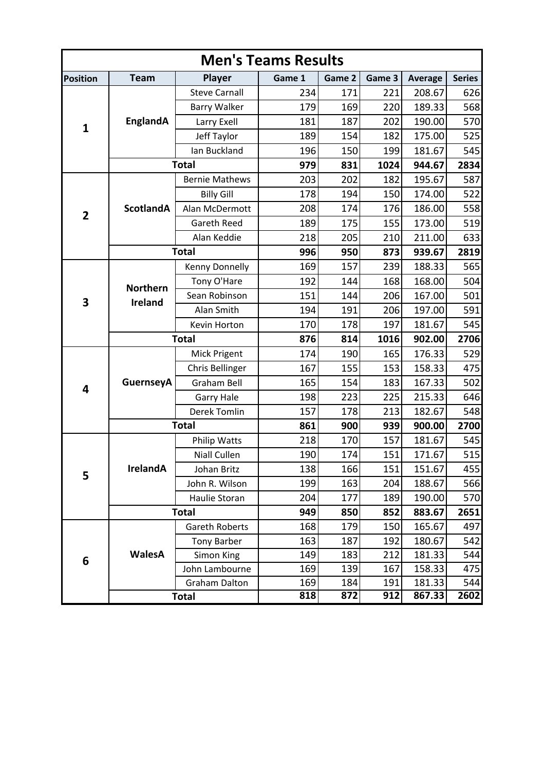| <b>Men's Teams Results</b> |                                                                                                                                                                                                                          |                      |        |        |        |                |               |  |  |  |  |  |
|----------------------------|--------------------------------------------------------------------------------------------------------------------------------------------------------------------------------------------------------------------------|----------------------|--------|--------|--------|----------------|---------------|--|--|--|--|--|
| <b>Position</b>            | <b>Team</b>                                                                                                                                                                                                              | <b>Player</b>        | Game 1 | Game 2 | Game 3 | <b>Average</b> | <b>Series</b> |  |  |  |  |  |
|                            |                                                                                                                                                                                                                          | <b>Steve Carnall</b> | 234    | 171    | 221    | 208.67         | 626           |  |  |  |  |  |
|                            |                                                                                                                                                                                                                          | <b>Barry Walker</b>  | 179    | 169    | 220    | 189.33         | 568           |  |  |  |  |  |
|                            | EnglandA<br>181<br>187<br>Larry Exell<br>$\mathbf{1}$<br>189<br>Jeff Taylor<br>154<br>Ian Buckland<br>196<br>150<br><b>Total</b><br>979<br>831<br><b>Bernie Mathews</b><br>203<br>202<br><b>Billy Gill</b><br>178<br>194 | 202                  | 190.00 | 570    |        |                |               |  |  |  |  |  |
|                            |                                                                                                                                                                                                                          |                      |        |        | 182    | 175.00         | 525           |  |  |  |  |  |
|                            |                                                                                                                                                                                                                          |                      |        |        | 199    | 181.67         | 545           |  |  |  |  |  |
|                            |                                                                                                                                                                                                                          |                      |        |        | 1024   | 944.67         | 2834          |  |  |  |  |  |
|                            |                                                                                                                                                                                                                          |                      |        |        | 182    | 195.67         | 587           |  |  |  |  |  |
|                            |                                                                                                                                                                                                                          |                      |        |        | 150    | 174.00         | 522           |  |  |  |  |  |
| $\mathbf{2}$               | <b>ScotlandA</b>                                                                                                                                                                                                         | Alan McDermott       | 208    | 174    | 176    | 186.00         | 558           |  |  |  |  |  |
|                            |                                                                                                                                                                                                                          | Gareth Reed          | 189    | 175    | 155    | 173.00         | 519           |  |  |  |  |  |
|                            |                                                                                                                                                                                                                          | Alan Keddie          | 218    | 205    | 210    | 211.00         | 633           |  |  |  |  |  |
|                            |                                                                                                                                                                                                                          | <b>Total</b>         | 996    | 950    | 873    | 939.67         | 2819          |  |  |  |  |  |
|                            |                                                                                                                                                                                                                          | Kenny Donnelly       | 169    | 157    | 239    | 188.33         | 565           |  |  |  |  |  |
|                            |                                                                                                                                                                                                                          | Tony O'Hare          | 192    | 144    | 168    | 168.00         | 504           |  |  |  |  |  |
| 3                          | <b>Northern</b><br><b>Ireland</b>                                                                                                                                                                                        | Sean Robinson        | 151    | 144    | 206    | 167.00         | 501           |  |  |  |  |  |
|                            |                                                                                                                                                                                                                          | Alan Smith           | 194    | 191    | 206    | 197.00         | 591           |  |  |  |  |  |
|                            |                                                                                                                                                                                                                          | Kevin Horton         | 170    | 178    | 197    | 181.67         | 545           |  |  |  |  |  |
|                            |                                                                                                                                                                                                                          | <b>Total</b>         | 876    | 814    | 1016   | 902.00         | 2706          |  |  |  |  |  |
|                            |                                                                                                                                                                                                                          | Mick Prigent         | 174    | 190    | 165    | 176.33         | 529           |  |  |  |  |  |
|                            | <b>GuernseyA</b>                                                                                                                                                                                                         | Chris Bellinger      | 167    | 155    | 153    | 158.33         | 475           |  |  |  |  |  |
| 4                          |                                                                                                                                                                                                                          | <b>Graham Bell</b>   | 165    | 154    | 183    | 167.33         | 502           |  |  |  |  |  |
|                            |                                                                                                                                                                                                                          | <b>Garry Hale</b>    | 198    | 223    | 225    | 215.33         | 646           |  |  |  |  |  |
|                            |                                                                                                                                                                                                                          | <b>Derek Tomlin</b>  | 157    | 178    | 213    | 182.67         | 548           |  |  |  |  |  |
|                            |                                                                                                                                                                                                                          | <b>Total</b>         | 861    | 900    | 939    | 900.00         | 2700          |  |  |  |  |  |
|                            |                                                                                                                                                                                                                          | <b>Philip Watts</b>  | 218    | 170    | 157    | 181.67         | 545           |  |  |  |  |  |
|                            |                                                                                                                                                                                                                          | Niall Cullen         | 190    | 174    | 151    | 171.67         | 515           |  |  |  |  |  |
| 5                          | <b>IrelandA</b>                                                                                                                                                                                                          | Johan Britz          | 138    | 166    | 151    | 151.67         | 455           |  |  |  |  |  |
|                            |                                                                                                                                                                                                                          | John R. Wilson       | 199    | 163    | 204    | 188.67         | 566           |  |  |  |  |  |
| 6                          |                                                                                                                                                                                                                          | Haulie Storan        | 204    | 177    | 189    | 190.00         | 570           |  |  |  |  |  |
|                            |                                                                                                                                                                                                                          | <b>Total</b>         | 949    | 850    | 852    | 883.67         | 2651          |  |  |  |  |  |
|                            |                                                                                                                                                                                                                          | Gareth Roberts       | 168    | 179    | 150    | 165.67         | 497           |  |  |  |  |  |
|                            |                                                                                                                                                                                                                          | <b>Tony Barber</b>   | 163    | 187    | 192    | 180.67         | 542           |  |  |  |  |  |
|                            | <b>WalesA</b>                                                                                                                                                                                                            | Simon King           | 149    | 183    | 212    | 181.33         | 544           |  |  |  |  |  |
|                            |                                                                                                                                                                                                                          | John Lambourne       | 169    | 139    | 167    | 158.33         | 475           |  |  |  |  |  |
|                            |                                                                                                                                                                                                                          | Graham Dalton        | 169    | 184    | 191    | 181.33         | 544           |  |  |  |  |  |
|                            | <b>Total</b>                                                                                                                                                                                                             |                      | 818    | 872    | 912    | 867.33         | 2602          |  |  |  |  |  |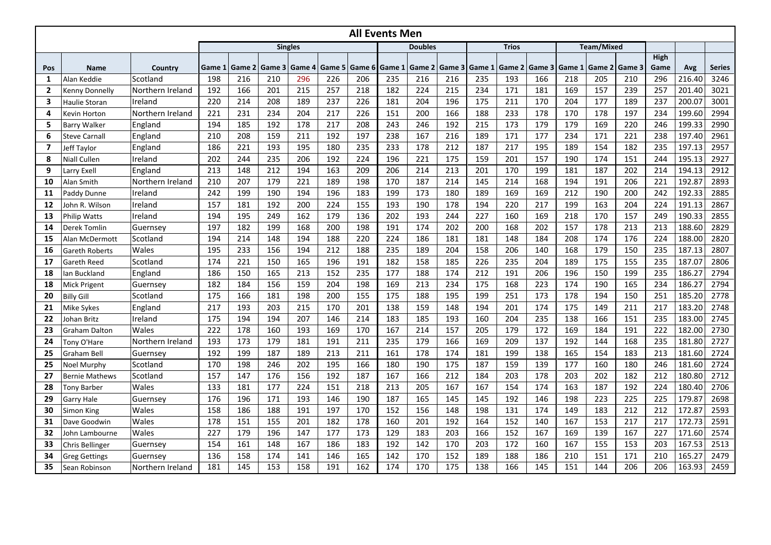|                         |                       |                  |        |        |        |                |        |        | <b>All Events Men</b> |                |               |     |              |        |          |                   |        |              |        |               |
|-------------------------|-----------------------|------------------|--------|--------|--------|----------------|--------|--------|-----------------------|----------------|---------------|-----|--------------|--------|----------|-------------------|--------|--------------|--------|---------------|
|                         |                       |                  |        |        |        | <b>Singles</b> |        |        |                       | <b>Doubles</b> |               |     | <b>Trios</b> |        |          | <b>Team/Mixed</b> |        |              |        |               |
| Pos                     | <b>Name</b>           | Country          | Game 1 | Game 2 | Game 3 | Game 4         | Game 5 | Game 6 | Game 1                | Game 2         | Game 3 Game 1 |     | Game 2       | Game 3 | l Game 1 | Game 2            | Game 3 | High<br>Game | Avg    | <b>Series</b> |
| 1                       | Alan Keddie           | Scotland         | 198    | 216    | 210    | 296            | 226    | 206    | 235                   | 216            | 216           | 235 | 193          | 166    | 218      | 205               | 210    | 296          | 216.40 | 3246          |
| $\overline{2}$          | Kenny Donnelly        | Northern Ireland | 192    | 166    | 201    | 215            | 257    | 218    | 182                   | 224            | 215           | 234 | 171          | 181    | 169      | 157               | 239    | 257          | 201.40 | 3021          |
| 3                       | Haulie Storan         | Ireland          | 220    | 214    | 208    | 189            | 237    | 226    | 181                   | 204            | 196           | 175 | 211          | 170    | 204      | 177               | 189    | 237          | 200.07 | 3001          |
| 4                       | Kevin Horton          | Northern Ireland | 221    | 231    | 234    | 204            | 217    | 226    | 151                   | 200            | 166           | 188 | 233          | 178    | 170      | 178               | 197    | 234          | 199.60 | 2994          |
| 5                       | <b>Barry Walker</b>   | England          | 194    | 185    | 192    | 178            | 217    | 208    | 243                   | 246            | 192           | 215 | 173          | 179    | 179      | 169               | 220    | 246          | 199.33 | 2990          |
| 6                       | <b>Steve Carnall</b>  | England          | 210    | 208    | 159    | 211            | 192    | 197    | 238                   | 167            | 216           | 189 | 171          | 177    | 234      | 171               | 221    | 238          | 197.40 | 2961          |
| $\overline{\mathbf{z}}$ | Jeff Taylor           | England          | 186    | 221    | 193    | 195            | 180    | 235    | 233                   | 178            | 212           | 187 | 217          | 195    | 189      | 154               | 182    | 235          | 197.13 | 2957          |
| 8                       | Niall Cullen          | Ireland          | 202    | 244    | 235    | 206            | 192    | 224    | 196                   | 221            | 175           | 159 | 201          | 157    | 190      | 174               | 151    | 244          | 195.13 | 2927          |
| 9                       | Larry Exell           | England          | 213    | 148    | 212    | 194            | 163    | 209    | 206                   | 214            | 213           | 201 | 170          | 199    | 181      | 187               | 202    | 214          | 194.13 | 2912          |
| 10                      | Alan Smith            | Northern Ireland | 210    | 207    | 179    | 221            | 189    | 198    | 170                   | 187            | 214           | 145 | 214          | 168    | 194      | 191               | 206    | 221          | 192.87 | 2893          |
| 11                      | Paddy Dunne           | Ireland          | 242    | 199    | 190    | 194            | 196    | 183    | 199                   | 173            | 180           | 189 | 169          | 169    | 212      | 190               | 200    | 242          | 192.33 | 2885          |
| 12                      | John R. Wilson        | Ireland          | 157    | 181    | 192    | 200            | 224    | 155    | 193                   | 190            | 178           | 194 | 220          | 217    | 199      | 163               | 204    | 224          | 191.13 | 2867          |
| 13                      | <b>Philip Watts</b>   | Ireland          | 194    | 195    | 249    | 162            | 179    | 136    | 202                   | 193            | 244           | 227 | 160          | 169    | 218      | 170               | 157    | 249          | 190.33 | 2855          |
| 14                      | <b>Derek Tomlin</b>   | Guernsey         | 197    | 182    | 199    | 168            | 200    | 198    | 191                   | 174            | 202           | 200 | 168          | 202    | 157      | 178               | 213    | 213          | 188.60 | 2829          |
| 15                      | Alan McDermott        | Scotland         | 194    | 214    | 148    | 194            | 188    | 220    | 224                   | 186            | 181           | 181 | 148          | 184    | 208      | 174               | 176    | 224          | 188.00 | 2820          |
| 16                      | Gareth Roberts        | Wales            | 195    | 233    | 156    | 194            | 212    | 188    | 235                   | 189            | 204           | 158 | 206          | 140    | 168      | 179               | 150    | 235          | 187.13 | 2807          |
| 17                      | Gareth Reed           | Scotland         | 174    | 221    | 150    | 165            | 196    | 191    | 182                   | 158            | 185           | 226 | 235          | 204    | 189      | 175               | 155    | 235          | 187.07 | 2806          |
| 18                      | lan Buckland          | England          | 186    | 150    | 165    | 213            | 152    | 235    | 177                   | 188            | 174           | 212 | 191          | 206    | 196      | 150               | 199    | 235          | 186.27 | 2794          |
| 18                      | <b>Mick Prigent</b>   | Guernsey         | 182    | 184    | 156    | 159            | 204    | 198    | 169                   | 213            | 234           | 175 | 168          | 223    | 174      | 190               | 165    | 234          | 186.27 | 2794          |
| 20                      | <b>Billy Gill</b>     | Scotland         | 175    | 166    | 181    | 198            | 200    | 155    | 175                   | 188            | 195           | 199 | 251          | 173    | 178      | 194               | 150    | 251          | 185.20 | 2778          |
| 21                      | Mike Sykes            | England          | 217    | 193    | 203    | 215            | 170    | 201    | 138                   | 159            | 148           | 194 | 201          | 174    | 175      | 149               | 211    | 217          | 183.20 | 2748          |
| 22                      | Johan Britz           | Ireland          | 175    | 194    | 194    | 207            | 146    | 214    | 183                   | 185            | 193           | 160 | 204          | 235    | 138      | 166               | 151    | 235          | 183.00 | 2745          |
| 23                      | <b>Graham Dalton</b>  | Wales            | 222    | 178    | 160    | 193            | 169    | 170    | 167                   | 214            | 157           | 205 | 179          | 172    | 169      | 184               | 191    | 222          | 182.00 | 2730          |
| 24                      | Tony O'Hare           | Northern Ireland | 193    | 173    | 179    | 181            | 191    | 211    | 235                   | 179            | 166           | 169 | 209          | 137    | 192      | 144               | 168    | 235          | 181.80 | 2727          |
| 25                      | Graham Bell           | Guernsey         | 192    | 199    | 187    | 189            | 213    | 211    | 161                   | 178            | 174           | 181 | 199          | 138    | 165      | 154               | 183    | 213          | 181.60 | 2724          |
| 25                      | Noel Murphy           | Scotland         | 170    | 198    | 246    | 202            | 195    | 166    | 180                   | 190            | 175           | 187 | 159          | 139    | 177      | 160               | 180    | 246          | 181.60 | 2724          |
| 27                      | <b>Bernie Mathews</b> | Scotland         | 157    | 147    | 176    | 156            | 192    | 187    | 167                   | 166            | 212           | 184 | 203          | 178    | 203      | 202               | 182    | 212          | 180.80 | 2712          |
| 28                      | <b>Tony Barber</b>    | Wales            | 133    | 181    | 177    | 224            | 151    | 218    | 213                   | 205            | 167           | 167 | 154          | 174    | 163      | 187               | 192    | 224          | 180.40 | 2706          |
| 29                      | Garry Hale            | Guernsey         | 176    | 196    | 171    | 193            | 146    | 190    | 187                   | 165            | 145           | 145 | 192          | 146    | 198      | 223               | 225    | 225          | 179.87 | 2698          |
| 30                      | Simon King            | Wales            | 158    | 186    | 188    | 191            | 197    | 170    | 152                   | 156            | 148           | 198 | 131          | 174    | 149      | 183               | 212    | 212          | 172.87 | 2593          |
| 31                      | Dave Goodwin          | Wales            | 178    | 151    | 155    | 201            | 182    | 178    | 160                   | 201            | 192           | 164 | 152          | 140    | 167      | 153               | 217    | 217          | 172.73 | 2591          |
| 32                      | John Lambourne        | Wales            | 227    | 179    | 196    | 147            | 177    | 173    | 129                   | 183            | 203           | 166 | 152          | 167    | 169      | 139               | 167    | 227          | 171.60 | 2574          |
| 33                      | Chris Bellinger       | Guernsey         | 154    | 161    | 148    | 167            | 186    | 183    | 192                   | 142            | 170           | 203 | 172          | 160    | 167      | 155               | 153    | 203          | 167.53 | 2513          |
| 34                      | <b>Greg Gettings</b>  | Guernsey         | 136    | 158    | 174    | 141            | 146    | 165    | 142                   | 170            | 152           | 189 | 188          | 186    | 210      | 151               | 171    | 210          | 165.27 | 2479          |
| 35                      | Sean Robinson         | Northern Ireland | 181    | 145    | 153    | 158            | 191    | 162    | 174                   | 170            | 175           | 138 | 166          | 145    | 151      | 144               | 206    | 206          | 163.93 | 2459          |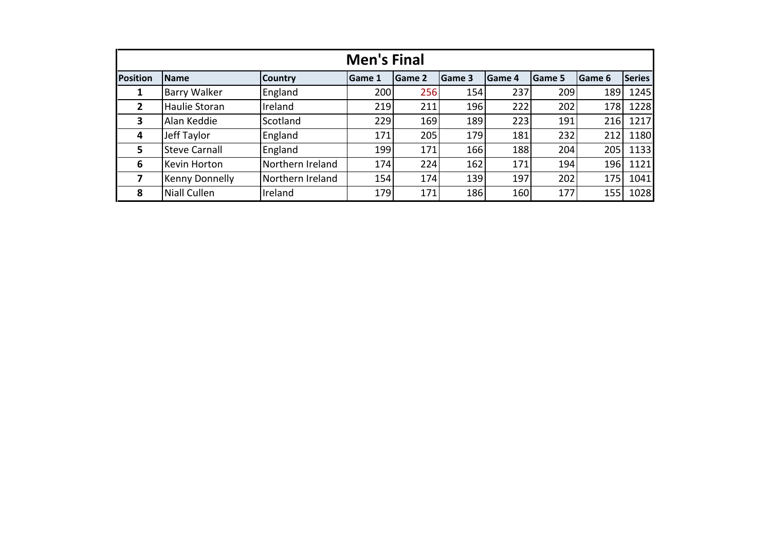|                 | <b>Men's Final</b>    |                  |                |               |                |         |                |               |               |  |  |  |
|-----------------|-----------------------|------------------|----------------|---------------|----------------|---------|----------------|---------------|---------------|--|--|--|
| <b>Position</b> | <b>Name</b>           | <b>Country</b>   | <b>IGame 1</b> | <b>Game 2</b> | <b>IGame 3</b> | lGame 4 | <b>IGame 5</b> | <b>Game 6</b> | <b>Series</b> |  |  |  |
| 1               | Barry Walker          | England          | 200            | 256           | 154            | 237     | 209            | 189           | 1245          |  |  |  |
| $\overline{2}$  | Haulie Storan         | Ireland          | 219            | 211           | 196            | 222     | 202            | 178           | 1228          |  |  |  |
| 3               | Alan Keddie           | Scotland         | 229            | 169           | 189            | 223     | 191            | 216           | 1217          |  |  |  |
| 4               | Jeff Taylor           | England          | 171            | 205           | 179            | 181     | 232            | 212           | 1180          |  |  |  |
| 5               | <b>Steve Carnall</b>  | England          | 199            | 171           | 166            | 188     | 204            | 205           | 1133          |  |  |  |
| 6               | Kevin Horton          | Northern Ireland | 174            | 224           | 162            | 171     | 194            | 196           | 1121          |  |  |  |
|                 | <b>Kenny Donnelly</b> | Northern Ireland | 154            | 174           | 139            | 197     | 202            | 175           | 1041          |  |  |  |
| 8               | Niall Cullen          | Ireland          | 179            | 171           | 186            | 160     | 177            | 155           | 1028          |  |  |  |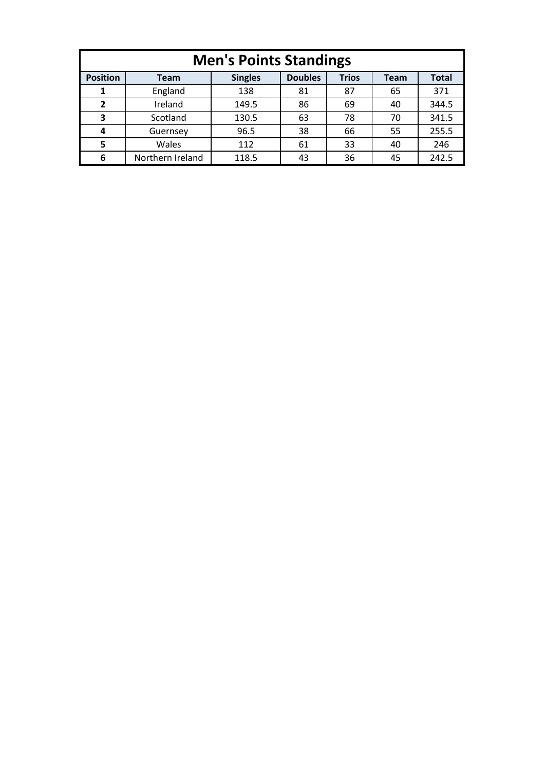| <b>Men's Points Standings</b>                                                                              |                  |       |    |    |    |       |  |  |  |  |  |  |
|------------------------------------------------------------------------------------------------------------|------------------|-------|----|----|----|-------|--|--|--|--|--|--|
| <b>Doubles</b><br><b>Position</b><br><b>Singles</b><br><b>Trios</b><br><b>Total</b><br><b>Team</b><br>Team |                  |       |    |    |    |       |  |  |  |  |  |  |
|                                                                                                            | England          | 138   | 81 | 87 | 65 | 371   |  |  |  |  |  |  |
| 2                                                                                                          | Ireland          | 149.5 | 86 | 69 | 40 | 344.5 |  |  |  |  |  |  |
| 3                                                                                                          | Scotland         | 130.5 | 63 | 78 | 70 | 341.5 |  |  |  |  |  |  |
| 4                                                                                                          | Guernsey         | 96.5  | 38 | 66 | 55 | 255.5 |  |  |  |  |  |  |
| 5                                                                                                          | Wales            | 112   | 61 | 33 | 40 | 246   |  |  |  |  |  |  |
| 6                                                                                                          | Northern Ireland | 118.5 | 43 | 36 | 45 | 242.5 |  |  |  |  |  |  |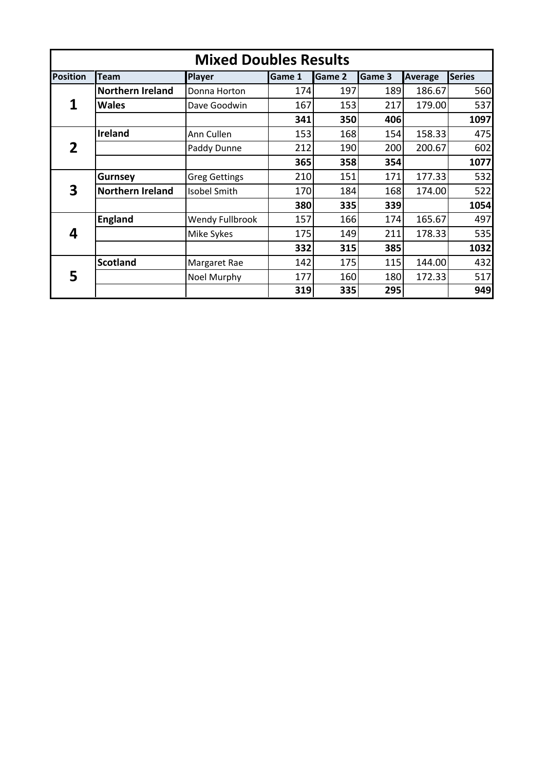| <b>Mixed Doubles Results</b> |                         |                      |               |               |        |         |               |  |  |  |  |  |
|------------------------------|-------------------------|----------------------|---------------|---------------|--------|---------|---------------|--|--|--|--|--|
| <b>Position</b>              | <b>Team</b>             | <b>Player</b>        | <b>Game 1</b> | <b>Game 2</b> | Game 3 | Average | <b>Series</b> |  |  |  |  |  |
|                              | <b>Northern Ireland</b> | Donna Horton         | 174           | 197           | 189    | 186.67  | 560           |  |  |  |  |  |
|                              | Wales                   | Dave Goodwin         | 167           | 153           | 217    | 179.00  | 537           |  |  |  |  |  |
|                              |                         |                      | 341           | 350           | 406    |         | 1097          |  |  |  |  |  |
|                              | <b>Ireland</b>          | Ann Cullen           | 153           | 168           | 154    | 158.33  | 475           |  |  |  |  |  |
| 2                            |                         | Paddy Dunne          | 212           | 190           | 200    | 200.67  | 602           |  |  |  |  |  |
|                              |                         |                      | 365           | 358           | 354    |         | 1077          |  |  |  |  |  |
|                              | Gurnsey                 | <b>Greg Gettings</b> | 210           | 151           | 171    | 177.33  | 532           |  |  |  |  |  |
| 3                            | <b>Northern Ireland</b> | <b>Isobel Smith</b>  | 170           | 184           | 168    | 174.00  | 522           |  |  |  |  |  |
|                              |                         |                      | 380           | 335           | 339    |         | 1054          |  |  |  |  |  |
|                              | <b>England</b>          | Wendy Fullbrook      | 157           | 166           | 174    | 165.67  | 497           |  |  |  |  |  |
| 4                            |                         | Mike Sykes           | 175           | 149           | 211    | 178.33  | 535           |  |  |  |  |  |
|                              |                         |                      | 332           | 315           | 385    |         | 1032          |  |  |  |  |  |
|                              | <b>Scotland</b>         | Margaret Rae         | 142           | 175           | 115    | 144.00  | 432           |  |  |  |  |  |
| 5                            |                         | Noel Murphy          | 177           | 160           | 180    | 172.33  | 517           |  |  |  |  |  |
|                              |                         |                      | 319           | 335           | 295    |         | 949           |  |  |  |  |  |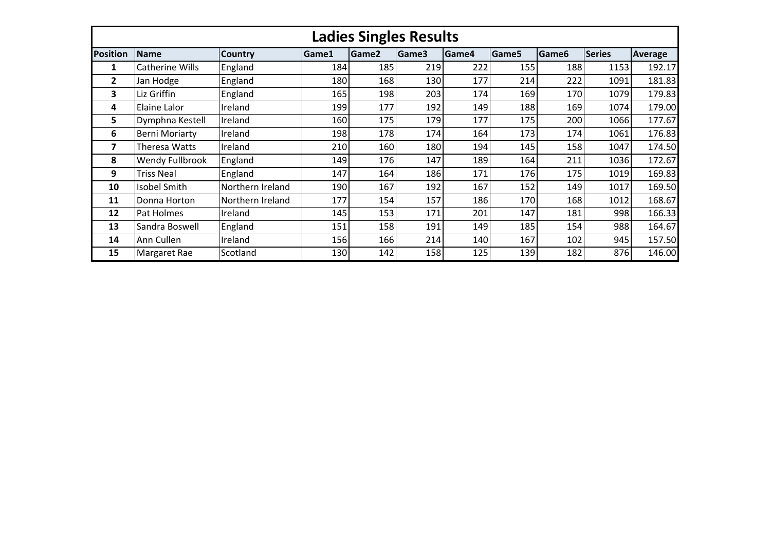|                 |                       |                  |       | <b>Ladies Singles Results</b> |       |       |                   |                   |               |         |
|-----------------|-----------------------|------------------|-------|-------------------------------|-------|-------|-------------------|-------------------|---------------|---------|
| <b>Position</b> | <b>Name</b>           | <b>Country</b>   | Game1 | Game2                         | Game3 | Game4 | Game <sub>5</sub> | Game <sub>6</sub> | <b>Series</b> | Average |
| 1               | Catherine Wills       | England          | 184   | 185                           | 219   | 222   | 155               | 188               | 1153          | 192.17  |
| $\overline{2}$  | Jan Hodge             | England          | 180   | 168                           | 130   | 177   | 214               | 222               | 1091          | 181.83  |
| 3               | Liz Griffin           | England          | 165   | 198                           | 203   | 174   | 169               | 170               | 1079          | 179.83  |
| 4               | Elaine Lalor          | Ireland          | 199   | 177                           | 192   | 149   | 188               | 169               | 1074          | 179.00  |
| 5               | Dymphna Kestell       | Ireland          | 160   | 175                           | 179   | 177   | 175               | 200               | 1066          | 177.67  |
| 6               | <b>Berni Moriarty</b> | Ireland          | 198   | 178                           | 174   | 164   | 173               | 174               | 1061          | 176.83  |
| 7               | Theresa Watts         | Ireland          | 210   | 160                           | 180   | 194   | 145               | 158               | 1047          | 174.50  |
| 8               | Wendy Fullbrook       | England          | 149   | 176                           | 147   | 189   | 164               | 211               | 1036          | 172.67  |
| 9               | <b>Triss Neal</b>     | England          | 147   | 164                           | 186   | 171   | 176               | 175               | 1019          | 169.83  |
| 10              | <b>Isobel Smith</b>   | Northern Ireland | 190   | 167                           | 192   | 167   | 152               | 149               | 1017          | 169.50  |
| 11              | Donna Horton          | Northern Ireland | 177   | 154                           | 157   | 186   | 170               | 168               | 1012          | 168.67  |
| 12              | <b>Pat Holmes</b>     | Ireland          | 145   | 153                           | 171   | 201   | 147               | 181               | 998           | 166.33  |
| 13              | Sandra Boswell        | England          | 151   | 158                           | 191   | 149   | 185               | 154               | 988           | 164.67  |
| 14              | Ann Cullen            | Ireland          | 156   | 166                           | 214   | 140   | 167               | 102               | 945           | 157.50  |
| 15              | Margaret Rae          | Scotland         | 130   | 142                           | 158   | 125   | 139               | 182               | 876           | 146.00  |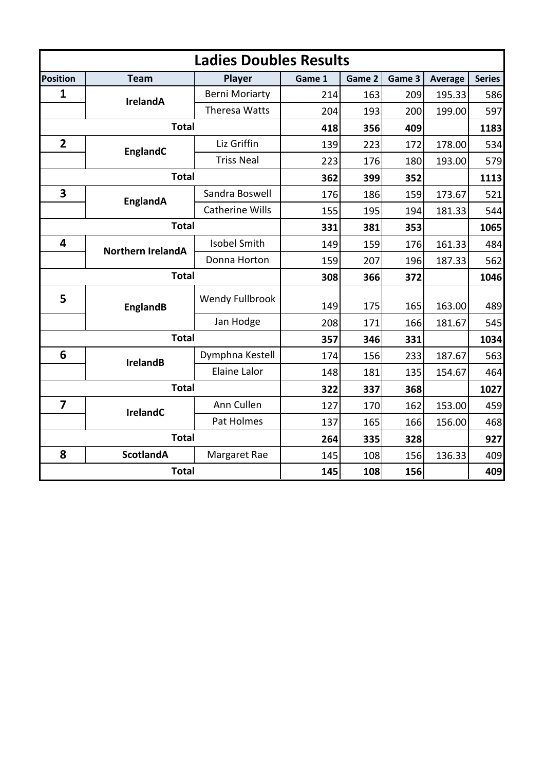|                         |                          | <b>Ladies Doubles Results</b> |        |        |        |                |               |
|-------------------------|--------------------------|-------------------------------|--------|--------|--------|----------------|---------------|
| <b>Position</b>         | <b>Team</b>              | Player                        | Game 1 | Game 2 | Game 3 | <b>Average</b> | <b>Series</b> |
| $\mathbf{1}$            | <b>IrelandA</b>          | <b>Berni Moriarty</b>         | 214    | 163    | 209    | 195.33         | 586           |
|                         |                          | Theresa Watts                 | 204    | 193    | 200    | 199.00         | 597           |
|                         | <b>Total</b>             |                               | 418    | 356    | 409    |                | 1183          |
| $\overline{2}$          | EnglandC                 | Liz Griffin                   | 139    | 223    | 172    | 178.00         | 534           |
|                         |                          | <b>Triss Neal</b>             | 223    | 176    | 180    | 193.00         | 579           |
|                         | <b>Total</b>             |                               | 362    | 399    | 352    |                | 1113          |
| $\overline{\mathbf{3}}$ | <b>EnglandA</b>          | Sandra Boswell                | 176    | 186    | 159    | 173.67         | 521           |
|                         |                          | <b>Catherine Wills</b>        | 155    | 195    | 194    | 181.33         | 544           |
|                         | <b>Total</b>             |                               | 331    | 381    | 353    |                | 1065          |
| 4                       | <b>Northern IrelandA</b> | <b>Isobel Smith</b>           | 149    | 159    | 176    | 161.33         | 484           |
|                         |                          | Donna Horton                  | 159    | 207    | 196    | 187.33         | 562           |
|                         | <b>Total</b>             |                               | 308    | 366    | 372    |                | 1046          |
| 5                       | <b>EnglandB</b>          | Wendy Fullbrook               | 149    | 175    | 165    | 163.00         | 489           |
|                         |                          | Jan Hodge                     | 208    | 171    | 166    | 181.67         | 545           |
|                         | <b>Total</b>             |                               | 357    | 346    | 331    |                | 1034          |
| 6                       | <b>IrelandB</b>          | Dymphna Kestell               | 174    | 156    | 233    | 187.67         | 563           |
|                         |                          | <b>Elaine Lalor</b>           | 148    | 181    | 135    | 154.67         | 464           |
|                         | <b>Total</b>             |                               | 322    | 337    | 368    |                | 1027          |
| $\overline{7}$          | <b>IrelandC</b>          | Ann Cullen                    | 127    | 170    | 162    | 153.00         | 459           |
|                         |                          | 137                           | 165    | 166    | 156.00 | 468            |               |
|                         | <b>Total</b>             | 264                           | 335    | 328    |        | 927            |               |
| 8                       | <b>ScotlandA</b>         | Margaret Rae                  | 145    | 108    | 156    | 136.33         | 409           |
|                         | <b>Total</b>             |                               | 145    | 108    | 156    |                | 409           |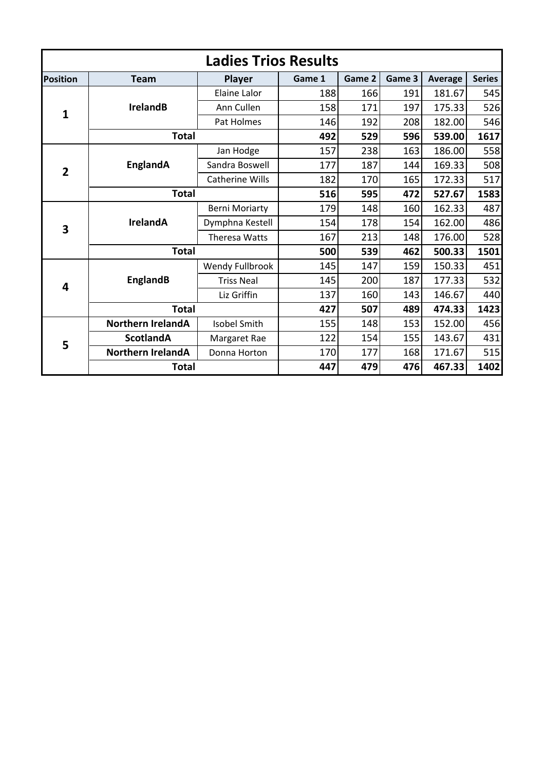|                 | <b>Ladies Trios Results</b> |                        |        |        |        |                                                                                                            |               |  |  |  |  |  |  |  |
|-----------------|-----------------------------|------------------------|--------|--------|--------|------------------------------------------------------------------------------------------------------------|---------------|--|--|--|--|--|--|--|
| <b>Position</b> | <b>Team</b>                 | <b>Player</b>          | Game 1 | Game 2 | Game 3 | <b>Average</b>                                                                                             | <b>Series</b> |  |  |  |  |  |  |  |
|                 |                             | Elaine Lalor           | 188    | 166    | 191    | 181.67                                                                                                     | 545           |  |  |  |  |  |  |  |
| 1               | <b>IrelandB</b>             | Ann Cullen             | 158    | 171    | 197    | 175.33                                                                                                     | 526           |  |  |  |  |  |  |  |
|                 |                             | Pat Holmes             | 146    | 192    | 208    | 182.00                                                                                                     | 546           |  |  |  |  |  |  |  |
|                 | <b>Total</b>                |                        | 492    | 529    | 596    | 539.00                                                                                                     | 1617          |  |  |  |  |  |  |  |
|                 |                             | Jan Hodge              | 157    | 238    | 163    | 186.00                                                                                                     | 558           |  |  |  |  |  |  |  |
| $\overline{2}$  | EnglandA                    | Sandra Boswell         | 177    | 187    | 144    | 169.33                                                                                                     | 508           |  |  |  |  |  |  |  |
|                 |                             | <b>Catherine Wills</b> | 182    | 170    | 165    | 172.33                                                                                                     | 517           |  |  |  |  |  |  |  |
|                 | <b>Total</b>                |                        | 516    | 595    | 472    | 527.67                                                                                                     | 1583          |  |  |  |  |  |  |  |
|                 |                             | <b>Berni Moriarty</b>  | 179    | 148    | 160    | 162.33                                                                                                     | 487           |  |  |  |  |  |  |  |
| 3               | <b>IrelandA</b>             | Dymphna Kestell        | 154    | 178    | 154    | 162.00<br>176.00<br>500.33<br>150.33<br>177.33<br>146.67<br>474.33<br>152.00<br>143.67<br>171.67<br>467.33 | 486           |  |  |  |  |  |  |  |
|                 |                             | <b>Theresa Watts</b>   | 167    | 213    | 148    |                                                                                                            | 528           |  |  |  |  |  |  |  |
|                 | <b>Total</b>                |                        | 500    | 539    | 462    |                                                                                                            | 1501          |  |  |  |  |  |  |  |
|                 |                             | Wendy Fullbrook        | 145    | 147    | 159    |                                                                                                            | 451           |  |  |  |  |  |  |  |
| 4               | <b>EnglandB</b>             | <b>Triss Neal</b>      | 145    | 200    | 187    |                                                                                                            | 532           |  |  |  |  |  |  |  |
|                 |                             | Liz Griffin            | 137    | 160    | 143    |                                                                                                            | 440           |  |  |  |  |  |  |  |
|                 | <b>Total</b>                |                        | 427    | 507    | 489    |                                                                                                            | 1423          |  |  |  |  |  |  |  |
|                 | <b>Northern IrelandA</b>    | <b>Isobel Smith</b>    | 155    | 148    | 153    |                                                                                                            | 456           |  |  |  |  |  |  |  |
| 5               | <b>ScotlandA</b>            | Margaret Rae           | 122    | 154    | 155    |                                                                                                            | 431           |  |  |  |  |  |  |  |
|                 | <b>Northern IrelandA</b>    | Donna Horton           | 170    | 177    | 168    |                                                                                                            | 515           |  |  |  |  |  |  |  |
|                 | <b>Total</b>                |                        | 447    | 479    | 476    |                                                                                                            | 1402          |  |  |  |  |  |  |  |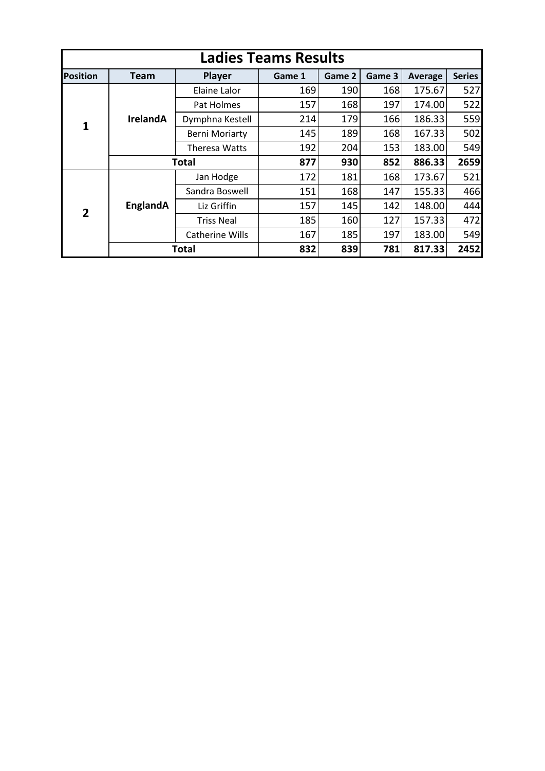|                 | <b>Ladies Teams Results</b> |                       |        |        |        |         |               |  |  |  |  |  |  |
|-----------------|-----------------------------|-----------------------|--------|--------|--------|---------|---------------|--|--|--|--|--|--|
| <b>Position</b> | Team                        | Player                | Game 1 | Game 2 | Game 3 | Average | <b>Series</b> |  |  |  |  |  |  |
|                 |                             | Elaine Lalor          | 169    | 190    | 168    | 175.67  | 527           |  |  |  |  |  |  |
|                 |                             | Pat Holmes            | 157    | 168    | 197    | 174.00  | 522           |  |  |  |  |  |  |
| 1               | <b>IrelandA</b>             | Dymphna Kestell       | 214    | 179    | 166    | 186.33  | 559           |  |  |  |  |  |  |
|                 |                             | <b>Berni Moriarty</b> | 145    | 189    | 168    | 167.33  | 502           |  |  |  |  |  |  |
|                 |                             | Theresa Watts         | 192    | 204    | 153    | 183.00  | 549           |  |  |  |  |  |  |
|                 |                             | Total                 | 877    | 930    | 852    | 886.33  | 2659          |  |  |  |  |  |  |
|                 |                             | Jan Hodge             | 172    | 181    | 168    | 173.67  | 521           |  |  |  |  |  |  |
|                 |                             | Sandra Boswell        | 151    | 168    | 147    | 155.33  | 466           |  |  |  |  |  |  |
| $\overline{2}$  | EnglandA                    | Liz Griffin           | 157    | 145    | 142    | 148.00  | 444           |  |  |  |  |  |  |
|                 |                             | <b>Triss Neal</b>     | 185    | 160    | 127    | 157.33  | 472           |  |  |  |  |  |  |
|                 |                             | Catherine Wills       | 167    | 185    | 197    | 183.00  | 549           |  |  |  |  |  |  |
|                 |                             | Total                 | 832    | 839    | 781    | 817.33  | 2452          |  |  |  |  |  |  |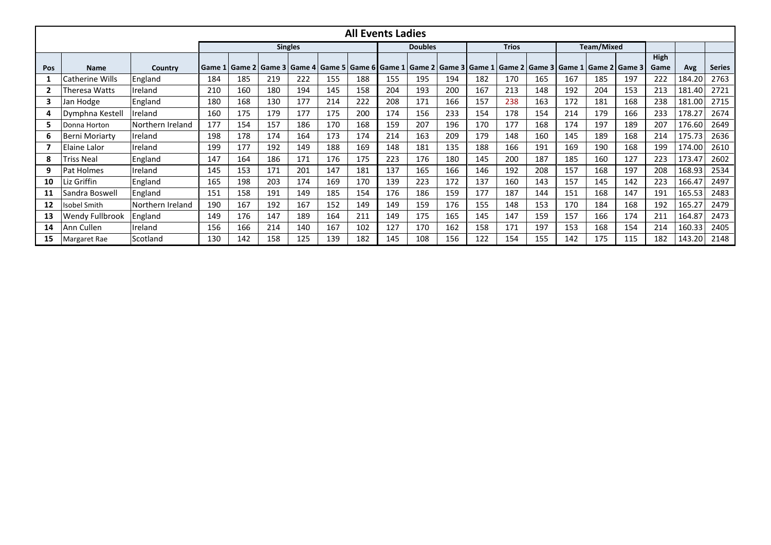| <b>All Events Ladies</b> |                        |                  |          |                                                                                |     |     |                |     |     |     |              |     |     |                   |     |     |                                            |      |        |               |
|--------------------------|------------------------|------------------|----------|--------------------------------------------------------------------------------|-----|-----|----------------|-----|-----|-----|--------------|-----|-----|-------------------|-----|-----|--------------------------------------------|------|--------|---------------|
|                          |                        | <b>Singles</b>   |          |                                                                                |     |     | <b>Doubles</b> |     |     |     | <b>Trios</b> |     |     | <b>Team/Mixed</b> |     |     |                                            |      |        |               |
|                          |                        |                  |          |                                                                                |     |     |                |     |     |     |              |     |     |                   |     |     |                                            | High |        |               |
| Pos                      | <b>Name</b>            | Country          | l Game 1 | Game 2   Game 3   Game 4   Game 5   Game 6   Game 1   Game 2   Game 3   Game 1 |     |     |                |     |     |     |              |     |     |                   |     |     | Game 2   Game 3   Game 1   Game 2   Game 3 | Game | Avg    | <b>Series</b> |
|                          | Catherine Wills        | England          | 184      | 185                                                                            | 219 | 222 | 155            | 188 | 155 | 195 | 194          | 182 | 170 | 165               | 167 | 185 | 197                                        | 222  | 184.20 | 2763          |
|                          | Theresa Watts          | Ireland          | 210      | 160                                                                            | 180 | 194 | 145            | 158 | 204 | 193 | 200          | 167 | 213 | 148               | 192 | 204 | 153                                        | 213  | 181.40 | 2721          |
| 3                        | Jan Hodge              | England          | 180      | 168                                                                            | 130 | 177 | 214            | 222 | 208 | 171 | 166          | 157 | 238 | 163               | 172 | 181 | 168                                        | 238  | 181.00 | 2715          |
| 4                        | Dymphna Kestell        | Ireland          | 160      | 175                                                                            | 179 | 177 | 175            | 200 | 174 | 156 | 233          | 154 | 178 | 154               | 214 | 179 | 166                                        | 233  | 178.27 | 2674          |
| 5                        | Donna Horton           | Northern Ireland | 177      | 154                                                                            | 157 | 186 | 170            | 168 | 159 | 207 | 196          | 170 | 177 | 168               | 174 | 197 | 189                                        | 207  | 176.60 | 2649          |
| 6                        | IBerni Moriartv        | Ireland          | 198      | 178                                                                            | 174 | 164 | 173            | 174 | 214 | 163 | 209          | 179 | 148 | 160               | 145 | 189 | 168                                        | 214  | 175.73 | 2636          |
|                          | Elaine Lalor           | Ireland          | 199      | 177                                                                            | 192 | 149 | 188            | 169 | 148 | 181 | 135          | 188 | 166 | 191               | 169 | 190 | 168                                        | 199  | 174.00 | 2610          |
| 8                        | Triss Neal             | England          | 147      | 164                                                                            | 186 | 171 | 176            | 175 | 223 | 176 | 180          | 145 | 200 | 187               | 185 | 160 | 127                                        | 223  | 173.47 | 2602          |
| 9                        | <b>Pat Holmes</b>      | Ireland          | 145      | 153                                                                            | 171 | 201 | 147            | 181 | 137 | 165 | 166          | 146 | 192 | 208               | 157 | 168 | 197                                        | 208  | 168.93 | 2534          |
| 10                       | Liz Griffin            | England          | 165      | 198                                                                            | 203 | 174 | 169            | 170 | 139 | 223 | 172          | 137 | 160 | 143               | 157 | 145 | 142                                        | 223  | 166.47 | 2497          |
| 11                       | Sandra Boswell         | England          | 151      | 158                                                                            | 191 | 149 | 185            | 154 | 176 | 186 | 159          | 177 | 187 | 144               | 151 | 168 | 147                                        | 191  | 165.53 | 2483          |
| 12                       | Isobel Smith           | Northern Ireland | 190      | 167                                                                            | 192 | 167 | 152            | 149 | 149 | 159 | 176          | 155 | 148 | 153               | 170 | 184 | 168                                        | 192  | 165.27 | 2479          |
| 13                       | <b>Wendy Fullbrook</b> | England          | 149      | 176                                                                            | 147 | 189 | 164            | 211 | 149 | 175 | 165          | 145 | 147 | 159               | 157 | 166 | 174                                        | 211  | 164.87 | 2473          |
| 14                       | Ann Cullen             | Ireland          | 156      | 166                                                                            | 214 | 140 | 167            | 102 | 127 | 170 | 162          | 158 | 171 | 197               | 153 | 168 | 154                                        | 214  | 160.33 | 2405          |
| 15                       | Margaret Rae           | Scotland         | 130      | 142                                                                            | 158 | 125 | 139            | 182 | 145 | 108 | 156          | 122 | 154 | 155               | 142 | 175 | 115                                        | 182  | 143.20 | 2148          |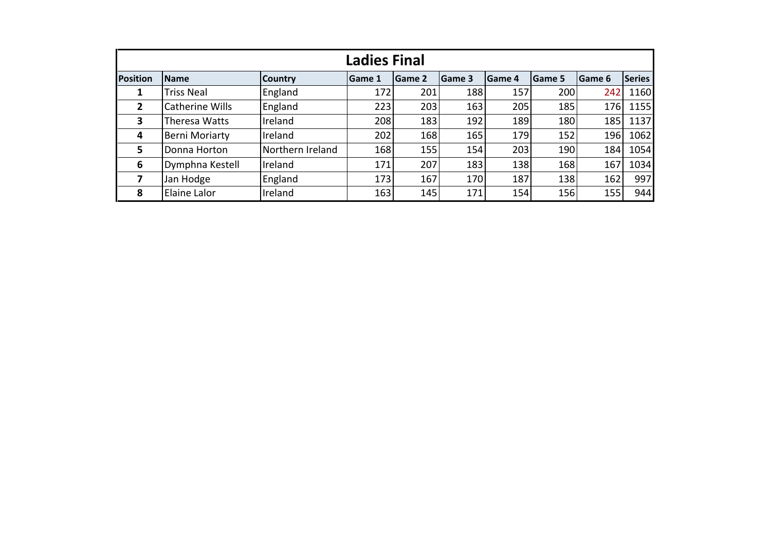| <b>Ladies Final</b> |                        |                  |               |        |               |                |                |               |               |  |  |  |
|---------------------|------------------------|------------------|---------------|--------|---------------|----------------|----------------|---------------|---------------|--|--|--|
| <b>Position</b>     | <b>Name</b>            | <b>Country</b>   | <b>Game 1</b> | Game 2 | <b>Game 3</b> | <b>IGame 4</b> | <b>IGame 5</b> | <b>Game 6</b> | <b>Series</b> |  |  |  |
|                     | Triss Neal             | England          | 172           | 201    | 188           | 157            | 200            | 242           | 1160          |  |  |  |
| $\overline{2}$      | <b>Catherine Wills</b> | England          | 223           | 203    | 163           | 205            | 185            | 176           | 1155          |  |  |  |
| 3                   | Theresa Watts          | Ireland          | 208           | 183    | 192           | 189            | 180            | 185           | 1137          |  |  |  |
| 4                   | <b>Berni Moriarty</b>  | Ireland          | 202           | 168    | 165           | 179            | 152            | 196           | 1062          |  |  |  |
| 5.                  | Donna Horton           | Northern Ireland | 168           | 155    | 154           | 203            | 190            | 184           | 1054          |  |  |  |
| 6                   | Dymphna Kestell        | Ireland          | 171           | 207    | 183           | 138            | 168            | 167           | 1034          |  |  |  |
|                     | Jan Hodge              | England          | 173           | 167    | 170           | 187            | 138            | 162           | 997           |  |  |  |
| 8                   | Elaine Lalor           | Ireland          | 163           | 145    | 171           | 154            | 156            | 155           | 944           |  |  |  |